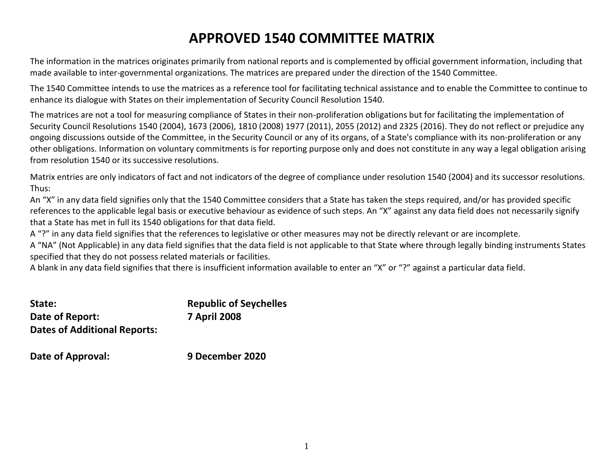# **APPROVED 1540 COMMITTEE MATRIX**

The information in the matrices originates primarily from national reports and is complemented by official government information, including that made available to inter-governmental organizations. The matrices are prepared under the direction of the 1540 Committee.

The 1540 Committee intends to use the matrices as a reference tool for facilitating technical assistance and to enable the Committee to continue to enhance its dialogue with States on their implementation of Security Council Resolution 1540.

The matrices are not a tool for measuring compliance of States in their non-proliferation obligations but for facilitating the implementation of Security Council Resolutions 1540 (2004), 1673 (2006), 1810 (2008) 1977 (2011), 2055 (2012) and 2325 (2016). They do not reflect or prejudice any ongoing discussions outside of the Committee, in the Security Council or any of its organs, of a State's compliance with its non-proliferation or any other obligations. Information on voluntary commitments is for reporting purpose only and does not constitute in any way a legal obligation arising from resolution 1540 or its successive resolutions.

Matrix entries are only indicators of fact and not indicators of the degree of compliance under resolution 1540 (2004) and its successor resolutions. Thus:

An "X" in any data field signifies only that the 1540 Committee considers that a State has taken the steps required, and/or has provided specific references to the applicable legal basis or executive behaviour as evidence of such steps. An "X" against any data field does not necessarily signify that a State has met in full its 1540 obligations for that data field.

A "?" in any data field signifies that the references to legislative or other measures may not be directly relevant or are incomplete.

A "NA" (Not Applicable) in any data field signifies that the data field is not applicable to that State where through legally binding instruments States specified that they do not possess related materials or facilities.

A blank in any data field signifies that there is insufficient information available to enter an "X" or "?" against a particular data field.

| State:                              | <b>Republic of Seychelles</b> |
|-------------------------------------|-------------------------------|
| Date of Report:                     | <b>7 April 2008</b>           |
| <b>Dates of Additional Reports:</b> |                               |

**Date of Approval: 9 December 2020**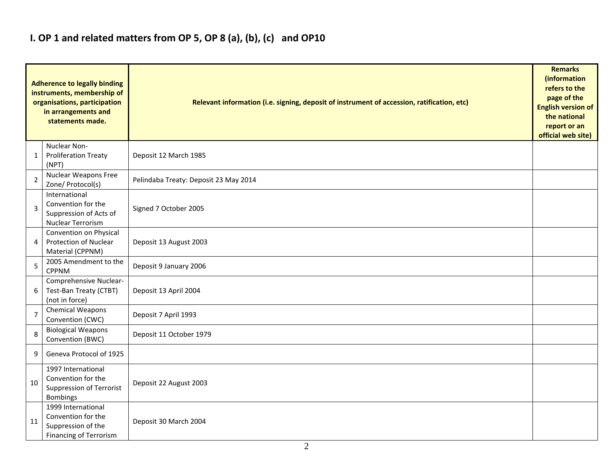## **I. OP 1 and related matters from OP 5, OP 8 (a), (b), (c) and OP10**

|                | <b>Adherence to legally binding</b><br>instruments, membership of<br>organisations, participation<br>in arrangements and<br>statements made. | Relevant information (i.e. signing, deposit of instrument of accession, ratification, etc) |  |  |  |  |  |
|----------------|----------------------------------------------------------------------------------------------------------------------------------------------|--------------------------------------------------------------------------------------------|--|--|--|--|--|
| 1              | Nuclear Non-<br><b>Proliferation Treaty</b><br>(NPT)                                                                                         | Deposit 12 March 1985                                                                      |  |  |  |  |  |
| 2              | <b>Nuclear Weapons Free</b><br>Zone/ Protocol(s)                                                                                             | Pelindaba Treaty: Deposit 23 May 2014                                                      |  |  |  |  |  |
| 3              | International<br>Convention for the<br>Suppression of Acts of<br>Nuclear Terrorism                                                           | Signed 7 October 2005                                                                      |  |  |  |  |  |
| 4              | Convention on Physical<br><b>Protection of Nuclear</b><br>Material (CPPNM)                                                                   | Deposit 13 August 2003                                                                     |  |  |  |  |  |
| 5              | 2005 Amendment to the<br><b>CPPNM</b>                                                                                                        | Deposit 9 January 2006                                                                     |  |  |  |  |  |
| 6              | Comprehensive Nuclear-<br>Test-Ban Treaty (CTBT)<br>(not in force)                                                                           | Deposit 13 April 2004                                                                      |  |  |  |  |  |
| $\overline{7}$ | Chemical Weapons<br>Convention (CWC)                                                                                                         | Deposit 7 April 1993                                                                       |  |  |  |  |  |
| 8              | <b>Biological Weapons</b><br>Convention (BWC)                                                                                                | Deposit 11 October 1979                                                                    |  |  |  |  |  |
| 9              | Geneva Protocol of 1925                                                                                                                      |                                                                                            |  |  |  |  |  |
| 10             | 1997 International<br>Convention for the<br><b>Suppression of Terrorist</b><br><b>Bombings</b>                                               | Deposit 22 August 2003                                                                     |  |  |  |  |  |
| 11             | 1999 International<br>Convention for the<br>Suppression of the<br><b>Financing of Terrorism</b>                                              | Deposit 30 March 2004                                                                      |  |  |  |  |  |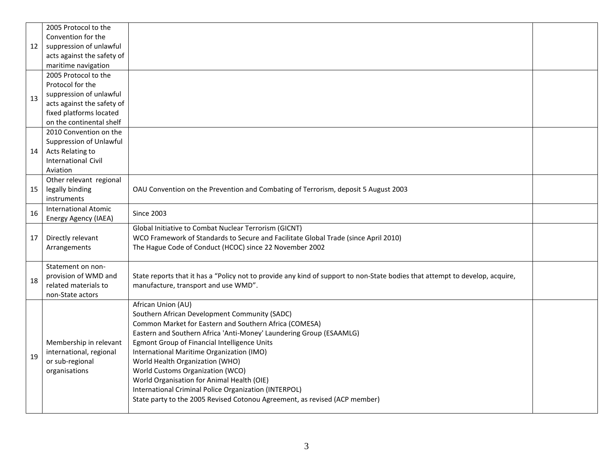|    | 2005 Protocol to the        |                                                                                                                              |  |
|----|-----------------------------|------------------------------------------------------------------------------------------------------------------------------|--|
|    | Convention for the          |                                                                                                                              |  |
| 12 | suppression of unlawful     |                                                                                                                              |  |
|    | acts against the safety of  |                                                                                                                              |  |
|    | maritime navigation         |                                                                                                                              |  |
|    | 2005 Protocol to the        |                                                                                                                              |  |
|    | Protocol for the            |                                                                                                                              |  |
| 13 | suppression of unlawful     |                                                                                                                              |  |
|    | acts against the safety of  |                                                                                                                              |  |
|    | fixed platforms located     |                                                                                                                              |  |
|    | on the continental shelf    |                                                                                                                              |  |
|    | 2010 Convention on the      |                                                                                                                              |  |
|    | Suppression of Unlawful     |                                                                                                                              |  |
| 14 | Acts Relating to            |                                                                                                                              |  |
|    | <b>International Civil</b>  |                                                                                                                              |  |
|    | Aviation                    |                                                                                                                              |  |
|    | Other relevant regional     |                                                                                                                              |  |
| 15 | legally binding             | OAU Convention on the Prevention and Combating of Terrorism, deposit 5 August 2003                                           |  |
|    | instruments                 |                                                                                                                              |  |
| 16 | <b>International Atomic</b> | <b>Since 2003</b>                                                                                                            |  |
|    | Energy Agency (IAEA)        |                                                                                                                              |  |
|    |                             | Global Initiative to Combat Nuclear Terrorism (GICNT)                                                                        |  |
| 17 | Directly relevant           | WCO Framework of Standards to Secure and Facilitate Global Trade (since April 2010)                                          |  |
|    | Arrangements                | The Hague Code of Conduct (HCOC) since 22 November 2002                                                                      |  |
|    |                             |                                                                                                                              |  |
|    | Statement on non-           |                                                                                                                              |  |
| 18 | provision of WMD and        | State reports that it has a "Policy not to provide any kind of support to non-State bodies that attempt to develop, acquire, |  |
|    | related materials to        | manufacture, transport and use WMD".                                                                                         |  |
|    | non-State actors            |                                                                                                                              |  |
|    |                             | African Union (AU)                                                                                                           |  |
|    |                             | Southern African Development Community (SADC)                                                                                |  |
|    |                             | Common Market for Eastern and Southern Africa (COMESA)                                                                       |  |
|    |                             | Eastern and Southern Africa 'Anti-Money' Laundering Group (ESAAMLG)                                                          |  |
|    | Membership in relevant      | Egmont Group of Financial Intelligence Units                                                                                 |  |
|    | international, regional     | International Maritime Organization (IMO)                                                                                    |  |
| 19 | or sub-regional             | World Health Organization (WHO)                                                                                              |  |
|    | organisations               | World Customs Organization (WCO)                                                                                             |  |
|    |                             | World Organisation for Animal Health (OIE)                                                                                   |  |
|    |                             | International Criminal Police Organization (INTERPOL)                                                                        |  |
|    |                             | State party to the 2005 Revised Cotonou Agreement, as revised (ACP member)                                                   |  |
|    |                             |                                                                                                                              |  |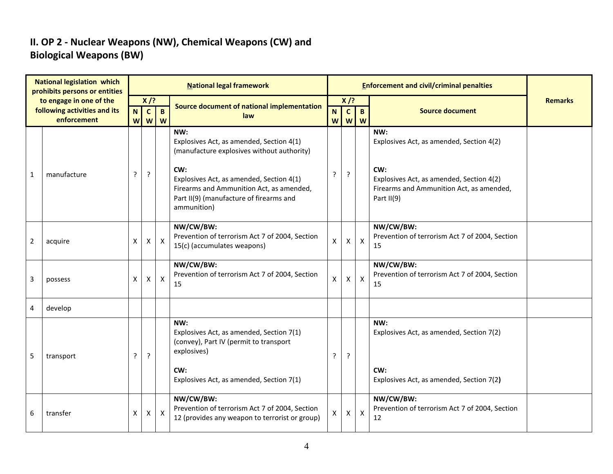### **II. OP 2 - Nuclear Weapons (NW), Chemical Weapons (CW) and Biological Weapons (BW)**

| <b>National legislation which</b><br>prohibits persons or entities |                                             |    |              |                       | <b>National legal framework</b>                                                                                                                             | <b>Enforcement and civil/criminal penalties</b> |                   |                           |                                                                                                           |                |
|--------------------------------------------------------------------|---------------------------------------------|----|--------------|-----------------------|-------------------------------------------------------------------------------------------------------------------------------------------------------------|-------------------------------------------------|-------------------|---------------------------|-----------------------------------------------------------------------------------------------------------|----------------|
|                                                                    | to engage in one of the                     |    | $X$ /?       |                       | Source document of national implementation                                                                                                                  | $X$ /?                                          |                   |                           |                                                                                                           | <b>Remarks</b> |
|                                                                    | following activities and its<br>enforcement | N. | $\mathbf{c}$ | $\mathbf{B}$<br>w w w | law                                                                                                                                                         | N.<br>W                                         | $\mathbf{C}$<br>W | $\mathbf{B}$<br>W         | <b>Source document</b>                                                                                    |                |
|                                                                    |                                             |    |              |                       | NW:<br>Explosives Act, as amended, Section 4(1)<br>(manufacture explosives without authority)                                                               |                                                 |                   |                           | NW:<br>Explosives Act, as amended, Section 4(2)                                                           |                |
| $\mathbf{1}$                                                       | manufacture                                 | ?  | ?            |                       | CW:<br>Explosives Act, as amended, Section 4(1)<br>Firearms and Ammunition Act, as amended,<br>Part II(9) (manufacture of firearms and<br>ammunition)       | ?                                               | ŗ                 |                           | CW:<br>Explosives Act, as amended, Section 4(2)<br>Firearms and Ammunition Act, as amended,<br>Part II(9) |                |
| $\overline{2}$                                                     | acquire                                     | Χ  | X            | $\mathsf{X}$          | NW/CW/BW:<br>Prevention of terrorism Act 7 of 2004, Section<br>15(c) (accumulates weapons)                                                                  | X                                               | $\mathsf{X}$      | $\mathsf{x}$              | NW/CW/BW:<br>Prevention of terrorism Act 7 of 2004, Section<br>15                                         |                |
| 3                                                                  | possess                                     | X  | X            | $\mathsf{X}$          | NW/CW/BW:<br>Prevention of terrorism Act 7 of 2004, Section<br>15                                                                                           | X                                               | $\mathsf{X}$      | $\boldsymbol{\mathsf{X}}$ | NW/CW/BW:<br>Prevention of terrorism Act 7 of 2004, Section<br>15                                         |                |
| 4                                                                  | develop                                     |    |              |                       |                                                                                                                                                             |                                                 |                   |                           |                                                                                                           |                |
| 5                                                                  | transport                                   | ?  | ?            |                       | NW:<br>Explosives Act, as amended, Section 7(1)<br>(convey), Part IV (permit to transport<br>explosives)<br>CW:<br>Explosives Act, as amended, Section 7(1) |                                                 | ?                 |                           | NW:<br>Explosives Act, as amended, Section 7(2)<br>CW:<br>Explosives Act, as amended, Section 7(2)        |                |
|                                                                    |                                             |    |              |                       | NW/CW/BW:<br>Prevention of terrorism Act 7 of 2004, Section                                                                                                 |                                                 |                   |                           | NW/CW/BW:<br>Prevention of terrorism Act 7 of 2004, Section                                               |                |
| 6                                                                  | transfer                                    | X  | X            | $\mathsf{X}$          | 12 (provides any weapon to terrorist or group)                                                                                                              | X                                               | X                 | $\boldsymbol{\mathsf{X}}$ | 12                                                                                                        |                |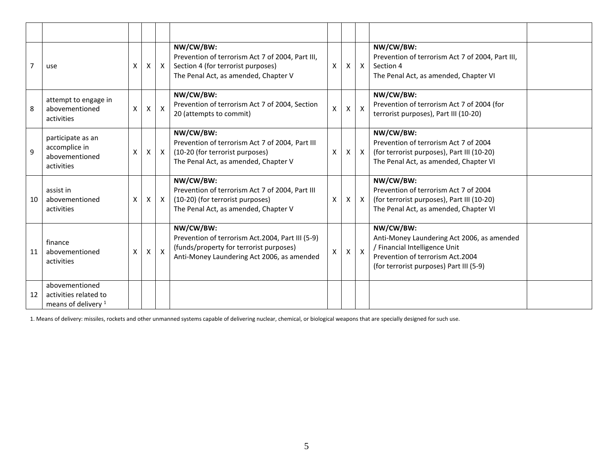|              | use                                                                       | X                  | X                  | $\mathsf{X}$ | NW/CW/BW:<br>Prevention of terrorism Act 7 of 2004, Part III,<br>Section 4 (for terrorist purposes)<br>The Penal Act, as amended, Chapter V            | X                  | X | $\mathsf{X}$    | NW/CW/BW:<br>Prevention of terrorism Act 7 of 2004, Part III,<br>Section 4<br>The Penal Act, as amended, Chapter VI                                                     |  |
|--------------|---------------------------------------------------------------------------|--------------------|--------------------|--------------|--------------------------------------------------------------------------------------------------------------------------------------------------------|--------------------|---|-----------------|-------------------------------------------------------------------------------------------------------------------------------------------------------------------------|--|
| 8            | attempt to engage in<br>abovementioned<br>activities                      | $\pmb{\mathsf{X}}$ | $\pmb{\mathsf{X}}$ | $\mathsf{X}$ | NW/CW/BW:<br>Prevention of terrorism Act 7 of 2004, Section<br>20 (attempts to commit)                                                                 | $\pmb{\mathsf{X}}$ | X | $\mathsf{\chi}$ | NW/CW/BW:<br>Prevention of terrorism Act 7 of 2004 (for<br>terrorist purposes), Part III (10-20)                                                                        |  |
| $\mathbf{q}$ | participate as an<br>accomplice in<br>abovementioned<br>activities        | X                  | $\mathsf{X}$       | $\mathsf{X}$ | NW/CW/BW:<br>Prevention of terrorism Act 7 of 2004, Part III<br>(10-20 (for terrorist purposes)<br>The Penal Act, as amended, Chapter V                | X                  | X | $\mathsf{x}$    | NW/CW/BW:<br>Prevention of terrorism Act 7 of 2004<br>(for terrorist purposes), Part III (10-20)<br>The Penal Act, as amended, Chapter VI                               |  |
| 10           | assist in<br>abovementioned<br>activities                                 | X                  | X                  | $\mathsf{X}$ | NW/CW/BW:<br>Prevention of terrorism Act 7 of 2004, Part III<br>(10-20) (for terrorist purposes)<br>The Penal Act, as amended, Chapter V               | X                  | X | $\mathsf{X}$    | NW/CW/BW:<br>Prevention of terrorism Act 7 of 2004<br>(for terrorist purposes), Part III (10-20)<br>The Penal Act, as amended, Chapter VI                               |  |
| 11           | finance<br>abovementioned<br>activities                                   | X                  | Χ                  | $\mathsf{X}$ | NW/CW/BW:<br>Prevention of terrorism Act.2004, Part III (5-9)<br>(funds/property for terrorist purposes)<br>Anti-Money Laundering Act 2006, as amended | X                  | X | $\pmb{\times}$  | NW/CW/BW:<br>Anti-Money Laundering Act 2006, as amended<br>/ Financial Intelligence Unit<br>Prevention of terrorism Act.2004<br>(for terrorist purposes) Part III (5-9) |  |
| 12           | abovementioned<br>activities related to<br>means of delivery <sup>1</sup> |                    |                    |              |                                                                                                                                                        |                    |   |                 |                                                                                                                                                                         |  |

1. Means of delivery: missiles, rockets and other unmanned systems capable of delivering nuclear, chemical, or biological weapons that are specially designed for such use.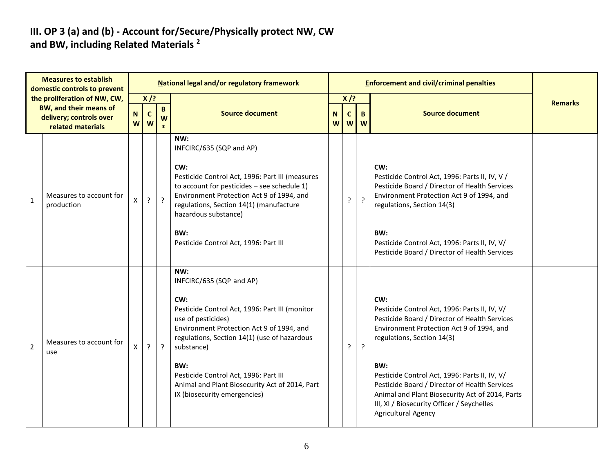#### **III. OP 3 (a) and (b) - Account for/Secure/Physically protect NW, CW and BW, including Related Materials <sup>2</sup>**

| <b>Measures to establish</b><br>domestic controls to prevent |                                                                                                        |                  |                            |         | National legal and/or regulatory framework                                                                                                                                                                                                                                                                                                                  |                     |                  | <b>Enforcement and civil/criminal penalties</b> |                                                                                                                                                                                                                                                                                                                                                                                                                          |                |
|--------------------------------------------------------------|--------------------------------------------------------------------------------------------------------|------------------|----------------------------|---------|-------------------------------------------------------------------------------------------------------------------------------------------------------------------------------------------------------------------------------------------------------------------------------------------------------------------------------------------------------------|---------------------|------------------|-------------------------------------------------|--------------------------------------------------------------------------------------------------------------------------------------------------------------------------------------------------------------------------------------------------------------------------------------------------------------------------------------------------------------------------------------------------------------------------|----------------|
|                                                              | the proliferation of NW, CW,<br>BW, and their means of<br>delivery; controls over<br>related materials | $\mathbf N$<br>W | $X$ /?<br>$\mathbf c$<br>W | B<br>W  | <b>Source document</b>                                                                                                                                                                                                                                                                                                                                      | N <sub>1</sub><br>W | $X$ /?<br>C<br>W | B.<br>W                                         | <b>Source document</b>                                                                                                                                                                                                                                                                                                                                                                                                   | <b>Remarks</b> |
| $\mathbf{1}$                                                 | Measures to account for<br>production                                                                  | X                | ?                          | $\cdot$ | NW:<br>INFCIRC/635 (SQP and AP)<br>CW:<br>Pesticide Control Act, 1996: Part III (measures<br>to account for pesticides $-$ see schedule 1)<br>Environment Protection Act 9 of 1994, and<br>regulations, Section 14(1) (manufacture<br>hazardous substance)<br>BW:<br>Pesticide Control Act, 1996: Part III                                                  |                     | ?                | $\overline{?}$                                  | CW:<br>Pesticide Control Act, 1996: Parts II, IV, V /<br>Pesticide Board / Director of Health Services<br>Environment Protection Act 9 of 1994, and<br>regulations, Section 14(3)<br>BW:<br>Pesticide Control Act, 1996: Parts II, IV, V/<br>Pesticide Board / Director of Health Services                                                                                                                               |                |
| $\overline{2}$                                               | Measures to account for<br>use                                                                         | $\mathsf{x}$     | ?                          | $\cdot$ | NW:<br>INFCIRC/635 (SQP and AP)<br>CW:<br>Pesticide Control Act, 1996: Part III (monitor<br>use of pesticides)<br>Environment Protection Act 9 of 1994, and<br>regulations, Section 14(1) (use of hazardous<br>substance)<br>BW:<br>Pesticide Control Act, 1996: Part III<br>Animal and Plant Biosecurity Act of 2014, Part<br>IX (biosecurity emergencies) |                     | ?                | $\ddot{?}$                                      | CW:<br>Pesticide Control Act, 1996: Parts II, IV, V/<br>Pesticide Board / Director of Health Services<br>Environment Protection Act 9 of 1994, and<br>regulations, Section 14(3)<br>BW:<br>Pesticide Control Act, 1996: Parts II, IV, V/<br>Pesticide Board / Director of Health Services<br>Animal and Plant Biosecurity Act of 2014, Parts<br>III, XI / Biosecurity Officer / Seychelles<br><b>Agricultural Agency</b> |                |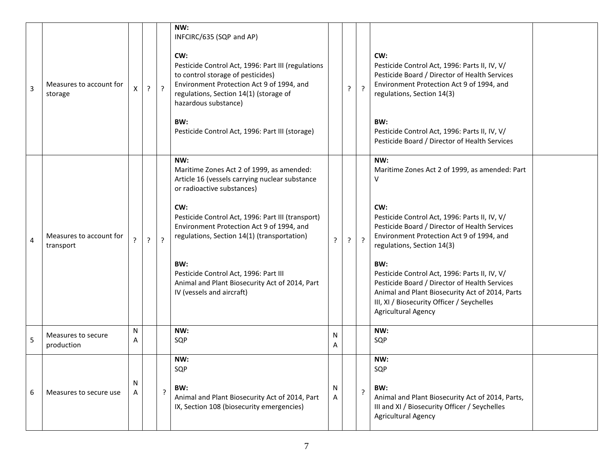| 3 | Measures to account for<br>storage   |        | ?              | $\cdot$        | NW:<br>INFCIRC/635 (SQP and AP)<br>CW:<br>Pesticide Control Act, 1996: Part III (regulations<br>to control storage of pesticides)<br>Environment Protection Act 9 of 1994, and<br>regulations, Section 14(1) (storage of<br>hazardous substance)<br>BW:<br>Pesticide Control Act, 1996: Part III (storage)                                                                                                              |        | ?          | $\cdot$     | CW:<br>Pesticide Control Act, 1996: Parts II, IV, V/<br>Pesticide Board / Director of Health Services<br>Environment Protection Act 9 of 1994, and<br>regulations, Section 14(3)<br>BW:<br>Pesticide Control Act, 1996: Parts II, IV, V/<br>Pesticide Board / Director of Health Services                                                                                                                                                                                              |  |
|---|--------------------------------------|--------|----------------|----------------|-------------------------------------------------------------------------------------------------------------------------------------------------------------------------------------------------------------------------------------------------------------------------------------------------------------------------------------------------------------------------------------------------------------------------|--------|------------|-------------|----------------------------------------------------------------------------------------------------------------------------------------------------------------------------------------------------------------------------------------------------------------------------------------------------------------------------------------------------------------------------------------------------------------------------------------------------------------------------------------|--|
| 4 | Measures to account for<br>transport | ?      | $\overline{?}$ | $\overline{?}$ | NW:<br>Maritime Zones Act 2 of 1999, as amended:<br>Article 16 (vessels carrying nuclear substance<br>or radioactive substances)<br>CW:<br>Pesticide Control Act, 1996: Part III (transport)<br>Environment Protection Act 9 of 1994, and<br>regulations, Section 14(1) (transportation)<br>BW:<br>Pesticide Control Act, 1996: Part III<br>Animal and Plant Biosecurity Act of 2014, Part<br>IV (vessels and aircraft) | ?      | $\ddot{?}$ | $\tilde{f}$ | NW:<br>Maritime Zones Act 2 of 1999, as amended: Part<br>V<br>CW:<br>Pesticide Control Act, 1996: Parts II, IV, V/<br>Pesticide Board / Director of Health Services<br>Environment Protection Act 9 of 1994, and<br>regulations, Section 14(3)<br>BW:<br>Pesticide Control Act, 1996: Parts II, IV, V/<br>Pesticide Board / Director of Health Services<br>Animal and Plant Biosecurity Act of 2014, Parts<br>III, XI / Biosecurity Officer / Seychelles<br><b>Agricultural Agency</b> |  |
| 5 | Measures to secure<br>production     | N<br>A |                |                | NW:<br>SQP                                                                                                                                                                                                                                                                                                                                                                                                              | N<br>A |            |             | NW:<br>SQP                                                                                                                                                                                                                                                                                                                                                                                                                                                                             |  |
| 6 | Measures to secure use               | N      |                | $\cdot$        | NW:<br>SQP<br>BW:<br>Animal and Plant Biosecurity Act of 2014, Part<br>IX, Section 108 (biosecurity emergencies)                                                                                                                                                                                                                                                                                                        | N<br>A |            | ?           | NW:<br>SQP<br>BW:<br>Animal and Plant Biosecurity Act of 2014, Parts,<br>III and XI / Biosecurity Officer / Seychelles<br><b>Agricultural Agency</b>                                                                                                                                                                                                                                                                                                                                   |  |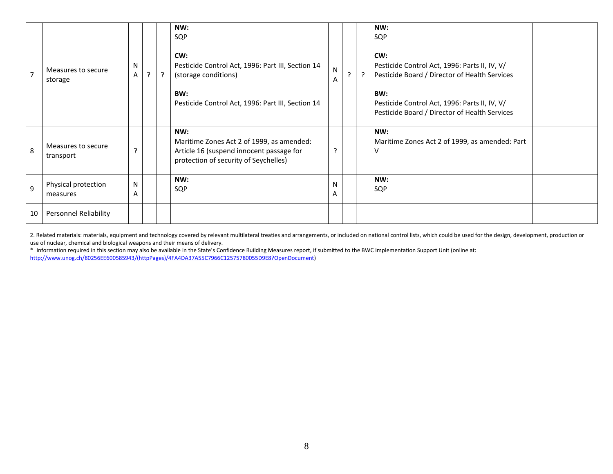| $\overline{7}$ | Measures to secure<br>storage   | N<br>Α            | ? | NW:<br>SQP<br>CW:<br>Pesticide Control Act, 1996: Part III, Section 14<br>(storage conditions)<br>BW:<br>Pesticide Control Act, 1996: Part III, Section 14 | ${\sf N}$<br>A | $\cdot$ | $\cdot$ | NW:<br>SQP<br>CW:<br>Pesticide Control Act, 1996: Parts II, IV, V/<br>Pesticide Board / Director of Health Services<br>BW:<br>Pesticide Control Act, 1996: Parts II, IV, V/<br>Pesticide Board / Director of Health Services |  |
|----------------|---------------------------------|-------------------|---|------------------------------------------------------------------------------------------------------------------------------------------------------------|----------------|---------|---------|------------------------------------------------------------------------------------------------------------------------------------------------------------------------------------------------------------------------------|--|
| 8              | Measures to secure<br>transport | ?                 |   | NW:<br>Maritime Zones Act 2 of 1999, as amended:<br>Article 16 (suspend innocent passage for<br>protection of security of Seychelles)                      | 7              |         |         | NW:<br>Maritime Zones Act 2 of 1999, as amended: Part<br>٧                                                                                                                                                                   |  |
| $\overline{9}$ | Physical protection<br>measures | $\mathsf{N}$<br>A |   | NW:<br>SQP                                                                                                                                                 | N<br>A         |         |         | NW:<br>SQP                                                                                                                                                                                                                   |  |
| 10             | Personnel Reliability           |                   |   |                                                                                                                                                            |                |         |         |                                                                                                                                                                                                                              |  |

2. Related materials: materials, equipment and technology covered by relevant multilateral treaties and arrangements, or included on national control lists, which could be used for the design, development, production or use of nuclear, chemical and biological weapons and their means of delivery.

\* Information required in this section may also be available in the State's Confidence Building Measures report, if submitted to the BWC Implementation Support Unit (online at: [http://www.unog.ch/80256EE600585943/\(httpPages\)/4FA4DA37A55C7966C12575780055D9E8?OpenDocument\)](http://www.unog.ch/80256EE600585943/(httpPages)/4FA4DA37A55C7966C12575780055D9E8?OpenDocument)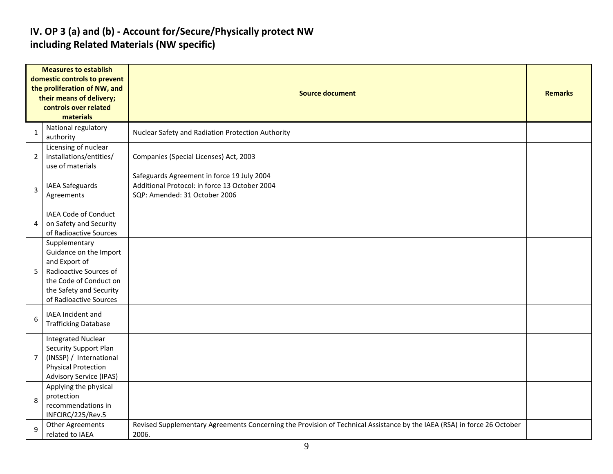### **IV. OP 3 (a) and (b) - Account for/Secure/Physically protect NW including Related Materials (NW specific)**

| <b>Measures to establish</b><br>domestic controls to prevent<br>the proliferation of NW, and<br>their means of delivery;<br>controls over related<br>materials |                                                                                                                                                                   | <b>Source document</b>                                                                                                           |  |  |  |  |
|----------------------------------------------------------------------------------------------------------------------------------------------------------------|-------------------------------------------------------------------------------------------------------------------------------------------------------------------|----------------------------------------------------------------------------------------------------------------------------------|--|--|--|--|
| 1                                                                                                                                                              | National regulatory<br>authority                                                                                                                                  | Nuclear Safety and Radiation Protection Authority                                                                                |  |  |  |  |
| $\overline{2}$                                                                                                                                                 | Licensing of nuclear<br>installations/entities/<br>use of materials                                                                                               | Companies (Special Licenses) Act, 2003                                                                                           |  |  |  |  |
| 3                                                                                                                                                              | IAEA Safeguards<br>Agreements                                                                                                                                     | Safeguards Agreement in force 19 July 2004<br>Additional Protocol: in force 13 October 2004<br>SQP: Amended: 31 October 2006     |  |  |  |  |
| 4                                                                                                                                                              | <b>IAEA Code of Conduct</b><br>on Safety and Security<br>of Radioactive Sources                                                                                   |                                                                                                                                  |  |  |  |  |
| 5                                                                                                                                                              | Supplementary<br>Guidance on the Import<br>and Export of<br>Radioactive Sources of<br>the Code of Conduct on<br>the Safety and Security<br>of Radioactive Sources |                                                                                                                                  |  |  |  |  |
| 6                                                                                                                                                              | IAEA Incident and<br><b>Trafficking Database</b>                                                                                                                  |                                                                                                                                  |  |  |  |  |
| $\overline{7}$                                                                                                                                                 | <b>Integrated Nuclear</b><br><b>Security Support Plan</b><br>(INSSP) / International<br><b>Physical Protection</b><br><b>Advisory Service (IPAS)</b>              |                                                                                                                                  |  |  |  |  |
| 8                                                                                                                                                              | Applying the physical<br>protection<br>recommendations in<br>INFCIRC/225/Rev.5                                                                                    |                                                                                                                                  |  |  |  |  |
| $\mathbf{q}$                                                                                                                                                   | <b>Other Agreements</b><br>related to IAEA                                                                                                                        | Revised Supplementary Agreements Concerning the Provision of Technical Assistance by the IAEA (RSA) in force 26 October<br>2006. |  |  |  |  |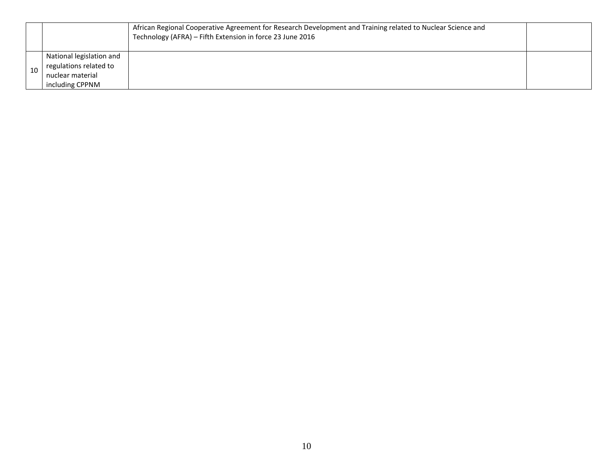|    |                                                    | African Regional Cooperative Agreement for Research Development and Training related to Nuclear Science and<br>Technology (AFRA) - Fifth Extension in force 23 June 2016 |  |
|----|----------------------------------------------------|--------------------------------------------------------------------------------------------------------------------------------------------------------------------------|--|
|    | National legislation and<br>regulations related to |                                                                                                                                                                          |  |
| 10 | nuclear material<br>including CPPNM                |                                                                                                                                                                          |  |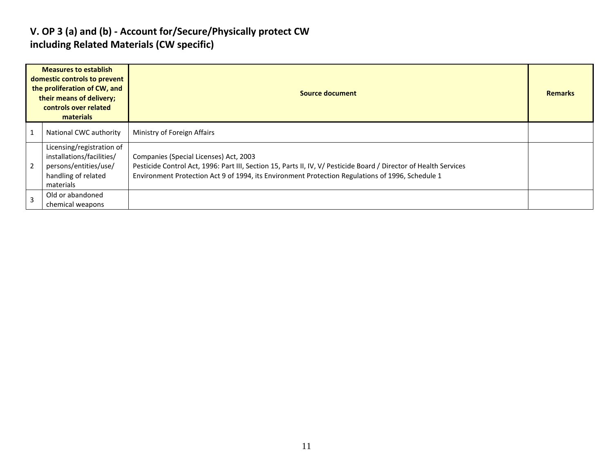### **V. OP 3 (a) and (b) - Account for/Secure/Physically protect CW including Related Materials (CW specific)**

| <b>Measures to establish</b><br>domestic controls to prevent<br>the proliferation of CW, and<br>their means of delivery;<br>controls over related<br>materials |                                                                                                                     | Source document                                                                                                                                                                                                                                                 | <b>Remarks</b> |
|----------------------------------------------------------------------------------------------------------------------------------------------------------------|---------------------------------------------------------------------------------------------------------------------|-----------------------------------------------------------------------------------------------------------------------------------------------------------------------------------------------------------------------------------------------------------------|----------------|
|                                                                                                                                                                | National CWC authority                                                                                              | Ministry of Foreign Affairs                                                                                                                                                                                                                                     |                |
|                                                                                                                                                                | Licensing/registration of<br>installations/facilities/<br>persons/entities/use/<br>handling of related<br>materials | Companies (Special Licenses) Act, 2003<br>Pesticide Control Act, 1996: Part III, Section 15, Parts II, IV, V/ Pesticide Board / Director of Health Services<br>Environment Protection Act 9 of 1994, its Environment Protection Regulations of 1996, Schedule 1 |                |
|                                                                                                                                                                | Old or abandoned<br>chemical weapons                                                                                |                                                                                                                                                                                                                                                                 |                |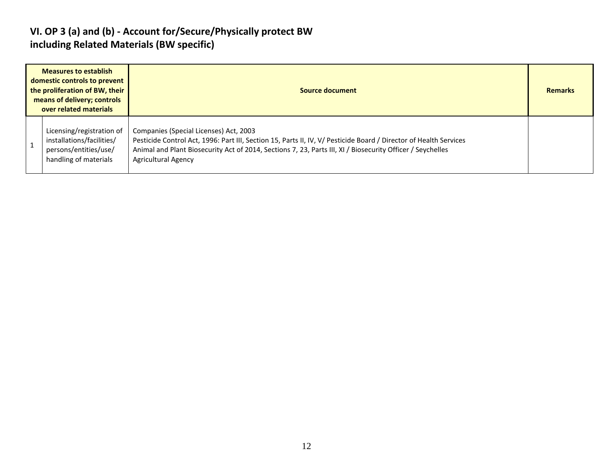### **VI. OP 3 (a) and (b) - Account for/Secure/Physically protect BW including Related Materials (BW specific)**

| <b>Measures to establish</b><br>domestic controls to prevent<br>the proliferation of BW, their<br>means of delivery; controls<br>over related materials | Source document                                                                                                                                                                                                                                                                                         |  |  |  |  |
|---------------------------------------------------------------------------------------------------------------------------------------------------------|---------------------------------------------------------------------------------------------------------------------------------------------------------------------------------------------------------------------------------------------------------------------------------------------------------|--|--|--|--|
| Licensing/registration of<br>installations/facilities/<br>persons/entities/use/<br>handling of materials                                                | Companies (Special Licenses) Act, 2003<br>Pesticide Control Act, 1996: Part III, Section 15, Parts II, IV, V/ Pesticide Board / Director of Health Services<br>Animal and Plant Biosecurity Act of 2014, Sections 7, 23, Parts III, XI / Biosecurity Officer / Seychelles<br><b>Agricultural Agency</b> |  |  |  |  |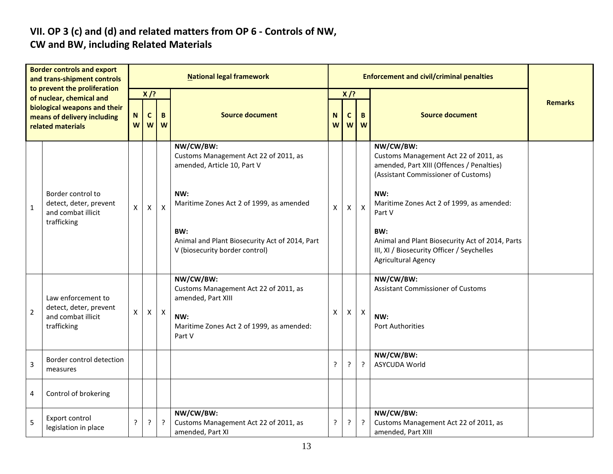# **VII. OP 3 (c) and (d) and related matters from OP 6 - Controls of NW,**

### **CW and BW, including Related Materials**

| <b>Border controls and export</b><br>and trans-shipment controls<br>to prevent the proliferation<br>of nuclear, chemical and<br>biological weapons and their<br>means of delivery including<br>related materials |                                                                                   | <b>National legal framework</b> |                  |              |                                                                                                                                        |        |              |              |                                                                                                                                                                                                      |                |
|------------------------------------------------------------------------------------------------------------------------------------------------------------------------------------------------------------------|-----------------------------------------------------------------------------------|---------------------------------|------------------|--------------|----------------------------------------------------------------------------------------------------------------------------------------|--------|--------------|--------------|------------------------------------------------------------------------------------------------------------------------------------------------------------------------------------------------------|----------------|
|                                                                                                                                                                                                                  |                                                                                   | $X$ /?                          |                  |              |                                                                                                                                        | $X$ /? |              |              |                                                                                                                                                                                                      |                |
|                                                                                                                                                                                                                  |                                                                                   | N<br>W                          | $\mathbf c$<br>W | B<br>W       | <b>Source document</b>                                                                                                                 | N<br>W | C<br>W       | B<br>W       | <b>Source document</b>                                                                                                                                                                               | <b>Remarks</b> |
| $1\,$                                                                                                                                                                                                            | Border control to<br>detect, deter, prevent<br>and combat illicit<br>trafficking  | X                               | $\mathsf{X}$     | $\mathsf{X}$ | NW/CW/BW:<br>Customs Management Act 22 of 2011, as<br>amended, Article 10, Part V<br>NW:<br>Maritime Zones Act 2 of 1999, as amended   | X      | $\mathsf{X}$ | $\mathsf{X}$ | NW/CW/BW:<br>Customs Management Act 22 of 2011, as<br>amended, Part XIII (Offences / Penalties)<br>(Assistant Commissioner of Customs)<br>NW:<br>Maritime Zones Act 2 of 1999, as amended:<br>Part V |                |
|                                                                                                                                                                                                                  |                                                                                   |                                 |                  |              | BW:<br>Animal and Plant Biosecurity Act of 2014, Part<br>V (biosecurity border control)                                                |        |              |              | BW:<br>Animal and Plant Biosecurity Act of 2014, Parts<br>III, XI / Biosecurity Officer / Seychelles<br><b>Agricultural Agency</b>                                                                   |                |
| $\mathbf 2$                                                                                                                                                                                                      | Law enforcement to<br>detect, deter, prevent<br>and combat illicit<br>trafficking | X                               | $\mathsf{X}$     | $\mathsf{X}$ | NW/CW/BW:<br>Customs Management Act 22 of 2011, as<br>amended, Part XIII<br>NW:<br>Maritime Zones Act 2 of 1999, as amended:<br>Part V | X      | $\mathsf{X}$ | $\mathsf X$  | NW/CW/BW:<br><b>Assistant Commissioner of Customs</b><br>NW:<br><b>Port Authorities</b>                                                                                                              |                |
| 3                                                                                                                                                                                                                | Border control detection<br>measures                                              |                                 |                  |              |                                                                                                                                        | ?      |              | $\cdot$      | NW/CW/BW:<br>ASYCUDA World                                                                                                                                                                           |                |
| 4                                                                                                                                                                                                                | Control of brokering                                                              |                                 |                  |              |                                                                                                                                        |        |              |              |                                                                                                                                                                                                      |                |
| 5                                                                                                                                                                                                                | Export control<br>legislation in place                                            | ?                               | $\tilde{?}$      | ?            | NW/CW/BW:<br>Customs Management Act 22 of 2011, as<br>amended, Part XI                                                                 | ?      | ?            | $\cdot$      | NW/CW/BW:<br>Customs Management Act 22 of 2011, as<br>amended, Part XIII                                                                                                                             |                |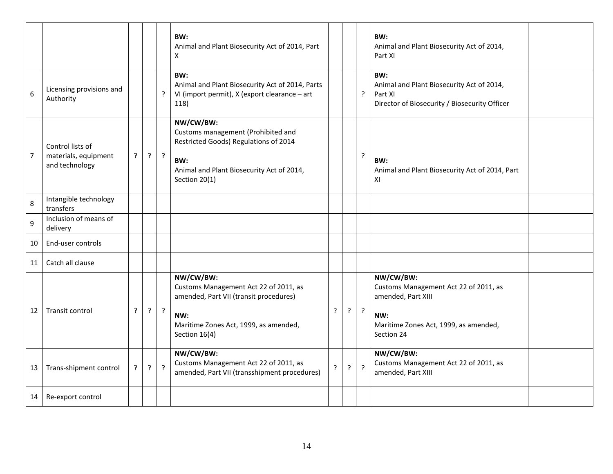|                |                                                            |             |         |                | BW:<br>Animal and Plant Biosecurity Act of 2014, Part<br>X                                                                                                    |                |   |                | BW:<br>Animal and Plant Biosecurity Act of 2014,<br>Part XI                                                                            |  |
|----------------|------------------------------------------------------------|-------------|---------|----------------|---------------------------------------------------------------------------------------------------------------------------------------------------------------|----------------|---|----------------|----------------------------------------------------------------------------------------------------------------------------------------|--|
| 6              | Licensing provisions and<br>Authority                      |             |         | ?              | BW:<br>Animal and Plant Biosecurity Act of 2014, Parts<br>VI (import permit), X (export clearance - art<br>118)                                               |                |   | $\overline{?}$ | BW:<br>Animal and Plant Biosecurity Act of 2014,<br>Part XI<br>Director of Biosecurity / Biosecurity Officer                           |  |
| $\overline{7}$ | Control lists of<br>materials, equipment<br>and technology | $\cdot$     | $\cdot$ | $\ddot{?}$     | NW/CW/BW:<br>Customs management (Prohibited and<br>Restricted Goods) Regulations of 2014<br>BW:<br>Animal and Plant Biosecurity Act of 2014,<br>Section 20(1) |                |   | $\overline{?}$ | BW:<br>Animal and Plant Biosecurity Act of 2014, Part<br>XI                                                                            |  |
| 8              | Intangible technology<br>transfers                         |             |         |                |                                                                                                                                                               |                |   |                |                                                                                                                                        |  |
| 9              | Inclusion of means of<br>delivery                          |             |         |                |                                                                                                                                                               |                |   |                |                                                                                                                                        |  |
| 10             | End-user controls                                          |             |         |                |                                                                                                                                                               |                |   |                |                                                                                                                                        |  |
| 11             | Catch all clause                                           |             |         |                |                                                                                                                                                               |                |   |                |                                                                                                                                        |  |
| 12             | Transit control                                            | ?           | $\cdot$ | $\overline{?}$ | NW/CW/BW:<br>Customs Management Act 22 of 2011, as<br>amended, Part VII (transit procedures)<br>NW:<br>Maritime Zones Act, 1999, as amended,<br>Section 16(4) | $\cdot$        | ŗ | $\cdot$        | NW/CW/BW:<br>Customs Management Act 22 of 2011, as<br>amended, Part XIII<br>NW:<br>Maritime Zones Act, 1999, as amended,<br>Section 24 |  |
| 13             | Trans-shipment control                                     | $\tilde{f}$ | $\cdot$ | $\overline{?}$ | NW/CW/BW:<br>Customs Management Act 22 of 2011, as<br>amended, Part VII (transshipment procedures)                                                            | $\overline{?}$ | ? | $\overline{?}$ | NW/CW/BW:<br>Customs Management Act 22 of 2011, as<br>amended, Part XIII                                                               |  |
| 14             | Re-export control                                          |             |         |                |                                                                                                                                                               |                |   |                |                                                                                                                                        |  |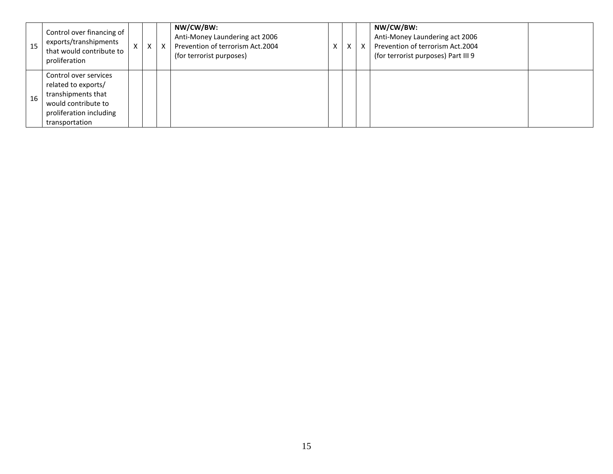| 15 | Control over financing of<br>exports/transhipments<br>that would contribute to<br>proliferation                                        | X | X | X | NW/CW/BW:<br>Anti-Money Laundering act 2006<br>Prevention of terrorism Act.2004<br>(for terrorist purposes) | X | X | X | NW/CW/BW:<br>Anti-Money Laundering act 2006<br>Prevention of terrorism Act.2004<br>(for terrorist purposes) Part III 9 |  |
|----|----------------------------------------------------------------------------------------------------------------------------------------|---|---|---|-------------------------------------------------------------------------------------------------------------|---|---|---|------------------------------------------------------------------------------------------------------------------------|--|
| 16 | Control over services<br>related to exports/<br>transhipments that<br>would contribute to<br>proliferation including<br>transportation |   |   |   |                                                                                                             |   |   |   |                                                                                                                        |  |